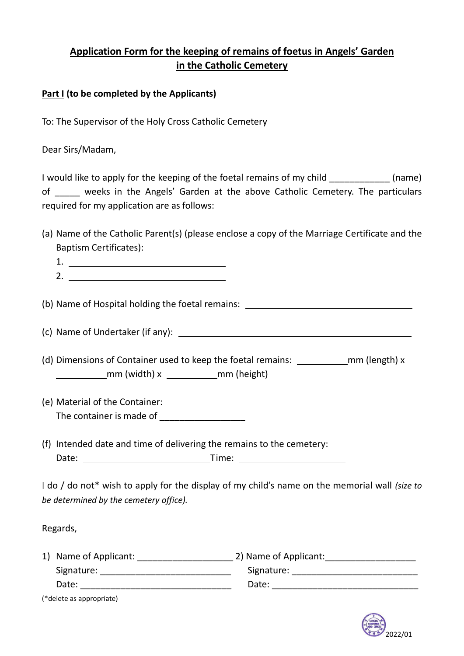# **Application Form for the keeping of remains of foetus in Angels' Garden in the Catholic Cemetery**

#### **Part I (to be completed by the Applicants)**

To: The Supervisor of the Holy Cross Catholic Cemetery

Dear Sirs/Madam,

I would like to apply for the keeping of the foetal remains of my child \_\_\_\_\_\_\_\_\_\_\_\_ (name) of \_\_\_\_\_ weeks in the Angels' Garden at the above Catholic Cemetery. The particulars required for my application are as follows:

(a) Name of the Catholic Parent(s) (please enclose a copy of the Marriage Certificate and the Baptism Certificates):

(b) Name of Hospital holding the foetal remains:

(c) Name of Undertaker (if any):

(d) Dimensions of Container used to keep the foetal remains: \_\_\_\_\_\_\_\_\_\_\_\_\_\_mm (length) x mm (width) x \_\_\_\_\_\_\_\_\_\_\_\_\_mm (height)

- (e) Material of the Container: The container is made of
- (f) Intended date and time of delivering the remains to the cemetery: Date: Time:

I do / do not\* wish to apply for the display of my child's name on the memorial wall *(size to be determined by the cemetery office).*

Regards,

| 1) Name of Applicant: | 2) Name of Applicant: |
|-----------------------|-----------------------|
| Signature:            | Signature:            |
| Date:                 | Date:                 |

(\*delete as appropriate)